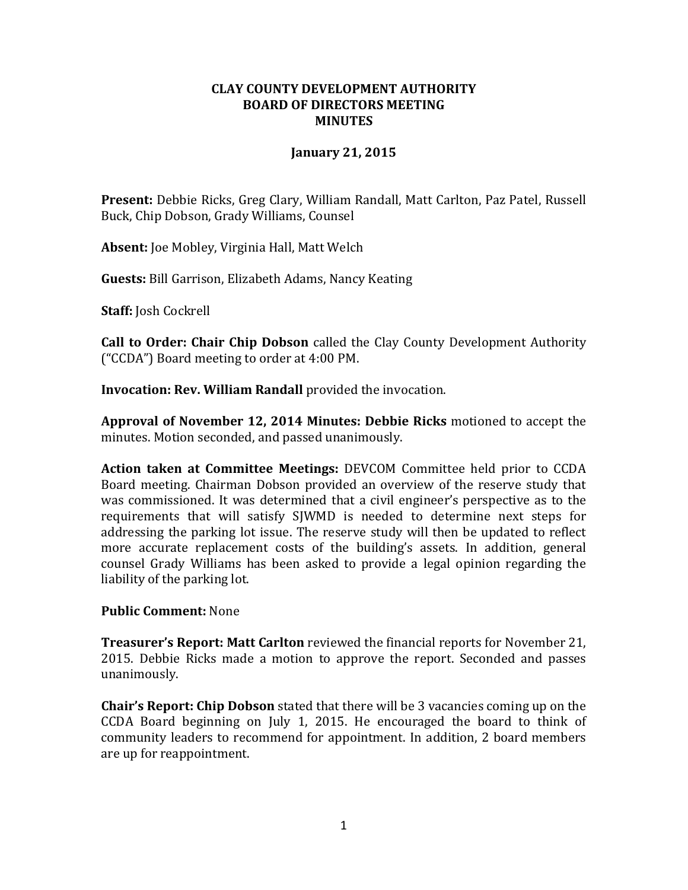## **CLAY COUNTY DEVELOPMENT AUTHORITY BOARD OF DIRECTORS MEETING MINUTES**

## **January 21, 2015**

**Present:** Debbie Ricks, Greg Clary, William Randall, Matt Carlton, Paz Patel, Russell Buck, Chip Dobson, Grady Williams, Counsel

**Absent:** Joe Mobley, Virginia Hall, Matt Welch

**Guests:** Bill Garrison, Elizabeth Adams, Nancy Keating

**Staff:** Josh Cockrell

**Call to Order: Chair Chip Dobson** called the Clay County Development Authority ("CCDA") Board meeting to order at 4:00 PM.

**Invocation: Rev. William Randall** provided the invocation.

**Approval of November 12, 2014 Minutes: Debbie Ricks** motioned to accept the minutes. Motion seconded, and passed unanimously.

**Action taken at Committee Meetings:** DEVCOM Committee held prior to CCDA Board meeting. Chairman Dobson provided an overview of the reserve study that was commissioned. It was determined that a civil engineer's perspective as to the requirements that will satisfy SJWMD is needed to determine next steps for addressing the parking lot issue. The reserve study will then be updated to reflect more accurate replacement costs of the building's assets. In addition, general counsel Grady Williams has been asked to provide a legal opinion regarding the liability of the parking lot.

#### **Public Comment:** None

**Treasurer's Report: Matt Carlton** reviewed the financial reports for November 21, 2015. Debbie Ricks made a motion to approve the report. Seconded and passes unanimously.

**Chair's Report: Chip Dobson** stated that there will be 3 vacancies coming up on the CCDA Board beginning on July 1, 2015. He encouraged the board to think of community leaders to recommend for appointment. In addition, 2 board members are up for reappointment.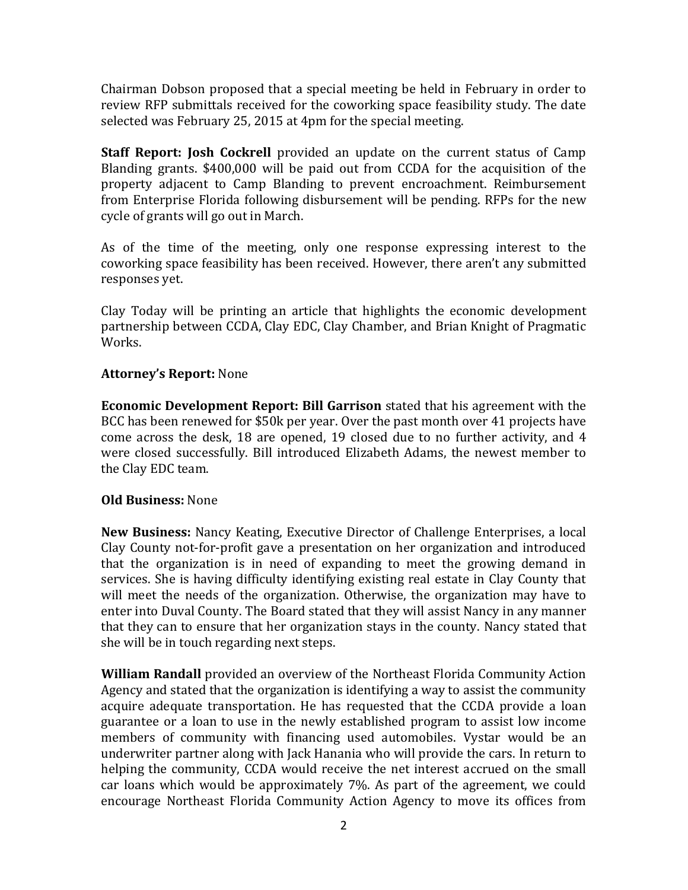Chairman Dobson proposed that a special meeting be held in February in order to review RFP submittals received for the coworking space feasibility study. The date selected was February 25, 2015 at 4pm for the special meeting.

**Staff Report: Josh Cockrell** provided an update on the current status of Camp Blanding grants. \$400,000 will be paid out from CCDA for the acquisition of the property adjacent to Camp Blanding to prevent encroachment. Reimbursement from Enterprise Florida following disbursement will be pending. RFPs for the new cycle of grants will go out in March.

As of the time of the meeting, only one response expressing interest to the coworking space feasibility has been received. However, there aren't any submitted responses yet.

Clay Today will be printing an article that highlights the economic development partnership between CCDA, Clay EDC, Clay Chamber, and Brian Knight of Pragmatic Works.

# **Attorney's Report:** None

**Economic Development Report: Bill Garrison** stated that his agreement with the BCC has been renewed for \$50k per year. Over the past month over 41 projects have come across the desk, 18 are opened, 19 closed due to no further activity, and 4 were closed successfully. Bill introduced Elizabeth Adams, the newest member to the Clay EDC team.

# **Old Business:** None

**New Business:** Nancy Keating, Executive Director of Challenge Enterprises, a local Clay County not-for-profit gave a presentation on her organization and introduced that the organization is in need of expanding to meet the growing demand in services. She is having difficulty identifying existing real estate in Clay County that will meet the needs of the organization. Otherwise, the organization may have to enter into Duval County. The Board stated that they will assist Nancy in any manner that they can to ensure that her organization stays in the county. Nancy stated that she will be in touch regarding next steps.

**William Randall** provided an overview of the Northeast Florida Community Action Agency and stated that the organization is identifying a way to assist the community acquire adequate transportation. He has requested that the CCDA provide a loan guarantee or a loan to use in the newly established program to assist low income members of community with financing used automobiles. Vystar would be an underwriter partner along with Jack Hanania who will provide the cars. In return to helping the community, CCDA would receive the net interest accrued on the small car loans which would be approximately 7%. As part of the agreement, we could encourage Northeast Florida Community Action Agency to move its offices from